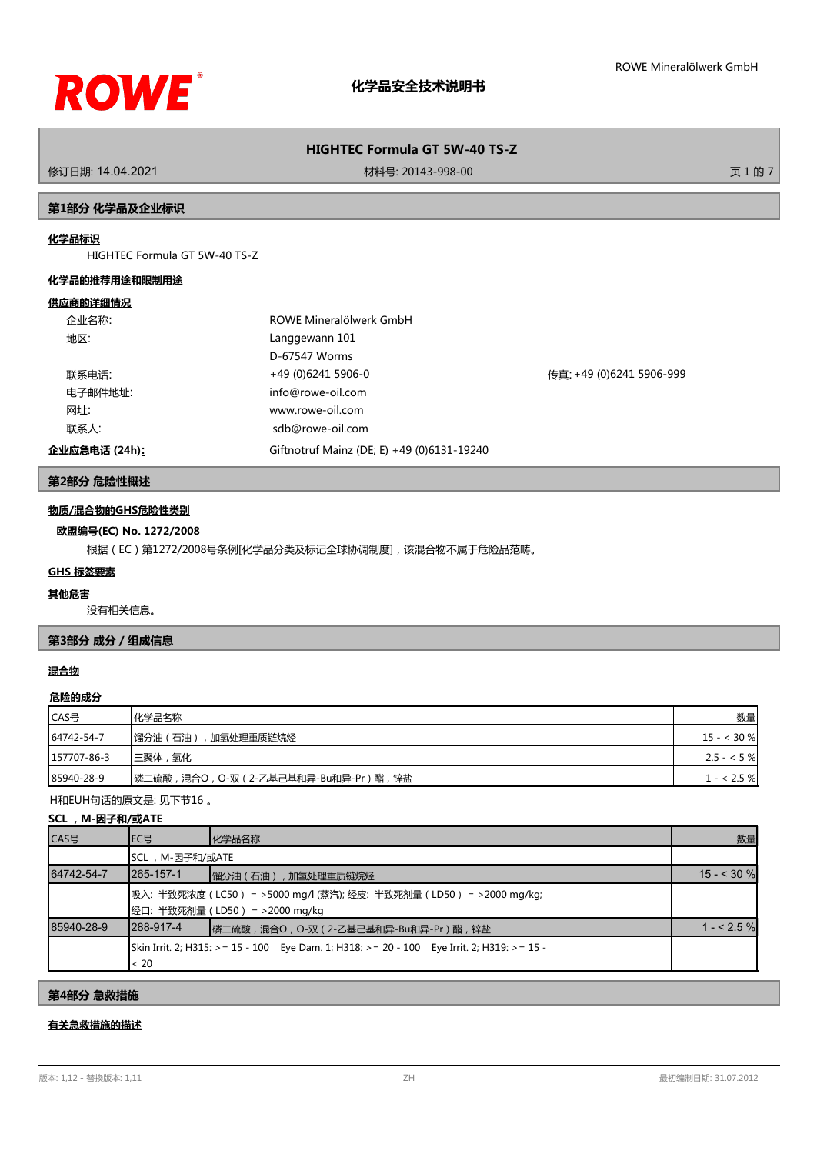

修订日期: 14.04.2021 材料号: 20143-998-00 页 1 的 7

## **第1部分 化学品及企业标识**

# **化学品标识**

HIGHTEC Formula GT 5W-40 TS-Z

#### **化学品的推荐用途和限制用途**

#### **供应商的详细情况**

|      | 企业名称:         | ROWE Mineralölwerk GmbH                    |                          |
|------|---------------|--------------------------------------------|--------------------------|
| 地区:  |               | Langgewann 101                             |                          |
|      |               | D-67547 Worms                              |                          |
|      | 联系电话:         | +49 (0)6241 5906-0                         | 传真: +49 (0)6241 5906-999 |
|      | 电子邮件地址:       | info@rowe-oil.com                          |                          |
| 网址:  |               | www.rowe-oil.com                           |                          |
| 联系人: |               | sdb@rowe-oil.com                           |                          |
|      | 企业应急电话 (24h): | Giftnotruf Mainz (DE; E) +49 (0)6131-19240 |                          |

# **第2部分 危险性概述**

## **物质/混合物的GHS危险性类别**

#### **欧盟编号(EC) No. 1272/2008**

根据(EC)第1272/2008号条例[化学品分类及标记全球协调制度],该混合物不属于危险品范畴。

#### **GHS 标签要素**

#### **其他危害**

没有相关信息。

# **第3部分 成分/组成信息**

# **混合物**

#### **危险的成分**

| CAS号        | 化学品名称                              | 数量           |
|-------------|------------------------------------|--------------|
| 64742-54-7  | ,加氢处理重质链烷烃<br> 馏分油(石油              | $15 - 30\%$  |
| 157707-86-3 | 三聚体,氢化                             | $2.5 - 5 \%$ |
| 85940-28-9  | 磷二硫酸,混合O,O-双(2-乙基己基和异-Bu和异-Pr)酯,锌盐 | $1 - 2.5 \%$ |

H和EUH句话的原文是: 见下节16 。

# **SCL ,M-因子和/或ATE**

| CAS号       | IEC号           | 化学品名称                                                                                               | 数量          |
|------------|----------------|-----------------------------------------------------------------------------------------------------|-------------|
|            | SCL,M-因子和/或ATE |                                                                                                     |             |
| 64742-54-7 | 1265-157-1     | 馏分油(石油), 加氢处理重质链烷烃                                                                                  | $15 - 30$ % |
|            |                | 吸入:半致死浓度(LC50) = >5000 mg/l (蒸汽); 经皮: 半致死剂量(LD50) = >2000 mg/kg;<br> 经口: 半致死剂量 (LD50) = >2000 mg/kg |             |
| 85940-28-9 | 1288-917-4     | ┃磷二硫酸,混合○, ○-双(2-乙基己基和异-Bu和异-Pr)酯,锌盐                                                                | $1 - 2.5%$  |
|            | < 20           | Skin Irrit. 2; H315: >= 15 - 100 Eye Dam. 1; H318: >= 20 - 100 Eye Irrit. 2; H319: >= 15 -          |             |

**第4部分 急救措施**

# **有关急救措施的描述**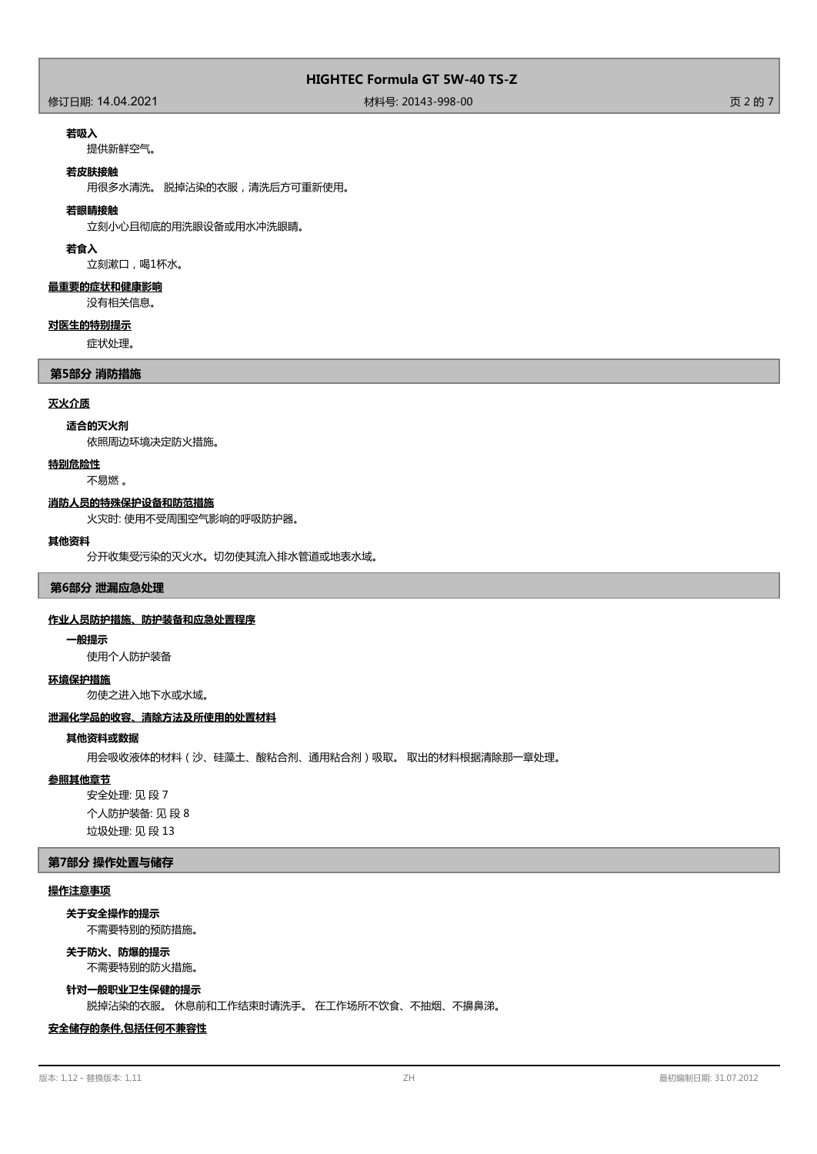# 修订日期: 14.04.2021 材料号: 20143-998-00 页 2 的 7

#### **若吸入**

提供新鲜空气。

#### **若皮肤接触**

用很多水清洗。 脱掉沾染的衣服,清洗后方可重新使用。

#### **若眼睛接触**

立刻小心且彻底的用洗眼设备或用水冲洗眼睛。

#### **若食入**

立刻漱口,喝1杯水。

#### **最重要的症状和健康影响**

没有相关信息。

## **对医生的特别提示**

症状处理。

# **第5部分 消防措施**

#### **灭火介质**

#### **适合的灭火剂**

依照周边环境决定防火措施。

#### **特别危险性**

不易燃 。

## **消防人员的特殊保护设备和防范措施**

火灾时: 使用不受周围空气影响的呼吸防护器。

#### **其他资料**

分开收集受污染的灭火水。切勿使其流入排水管道或地表水域。

**第6部分 泄漏应急处理**

#### **作业人员防护措施、防护装备和应急处置程序**

#### **一般提示**

使用个人防护装备

#### **环境保护措施**

勿使之进入地下水或水域。

## **泄漏化学品的收容、清除方法及所使用的处置材料**

# **其他资料或数据**

用会吸收液体的材料(沙、硅藻土、酸粘合剂、通用粘合剂)吸取。 取出的材料根据清除那一章处理。

#### **参照其他章节**

安全处理: 见 段 7 个人防护装备: 见 段 8 垃圾处理: 见 段 13

#### **第7部分 操作处置与储存**

## **操作注意事项**

不需要特别的预防措施。 **关于安全操作的提示**

#### **关于防火、防爆的提示**

不需要特别的防火措施。

#### **针对一般职业卫生保健的提示**

脱掉沾染的衣服。 休息前和工作结束时请洗手。 在工作场所不饮食、不抽烟、不擤鼻涕。

# **安全储存的条件,包括任何不兼容性**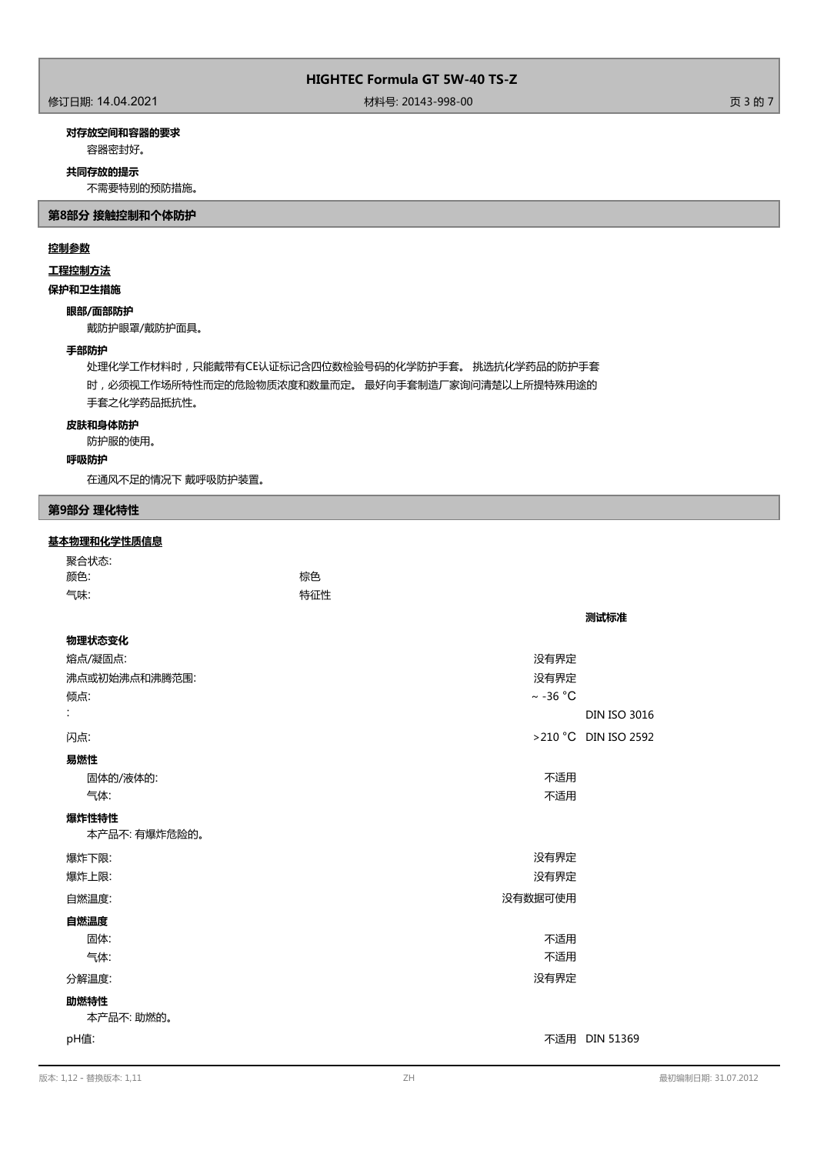修订日期: 14.04.2021 材料号: 20143-998-00 页 3 的 7

# **对存放空间和容器的要求**

容器密封好。

#### **共同存放的提示**

不需要特别的预防措施。

**第8部分 接触控制和个体防护**

# **控制参数**

# **工程控制方法**

**保护和卫生措施**

#### **眼部/面部防护**

戴防护眼罩/戴防护面具。

## **手部防护**

处理化学工作材料时,只能戴带有CE认证标记含四位数检验号码的化学防护手套。 挑选抗化学药品的防护手套 时,必须视工作场所特性而定的危险物质浓度和数量而定。 最好向手套制造厂家询问清楚以上所提特殊用途的 手套之化学药品抵抗性。

# **皮肤和身体防护**

防护服的使用。

#### **呼吸防护**

在通风不足的情况下 戴呼吸防护装置。

# **第9部分 理化特性**

# **基本物理和化学性质信息**

| 聚合状态: |     |
|-------|-----|
| 颜色:   | 棕色  |
| 气味:   | 特征性 |

| 物理状态变化             |                      |  |
|--------------------|----------------------|--|
| 熔点/凝固点:            | 没有界定                 |  |
| 沸点或初始沸点和沸腾范围:      | 没有界定                 |  |
| 倾点:                | $\sim$ -36 °C        |  |
| ÷                  | <b>DIN ISO 3016</b>  |  |
| 闪点:                | >210 °C DIN ISO 2592 |  |
| 易燃性                |                      |  |
| 固体的/液体的:           | 不适用                  |  |
| 气体:                | 不适用                  |  |
| 爆炸性特性              |                      |  |
| 本产品不: 有爆炸危险的。      |                      |  |
| 爆炸下限:              | 没有界定                 |  |
| 爆炸上限:              | 没有界定                 |  |
| 自燃温度:              | 没有数据可使用              |  |
| 自燃温度               |                      |  |
| 固体:                | 不适用                  |  |
| 气体:                | 不适用                  |  |
| 分解温度:              | 没有界定                 |  |
| 助燃特性<br>本产品不: 助燃的。 |                      |  |
| pH值:               | 不适用 DIN 51369        |  |

**测试标准**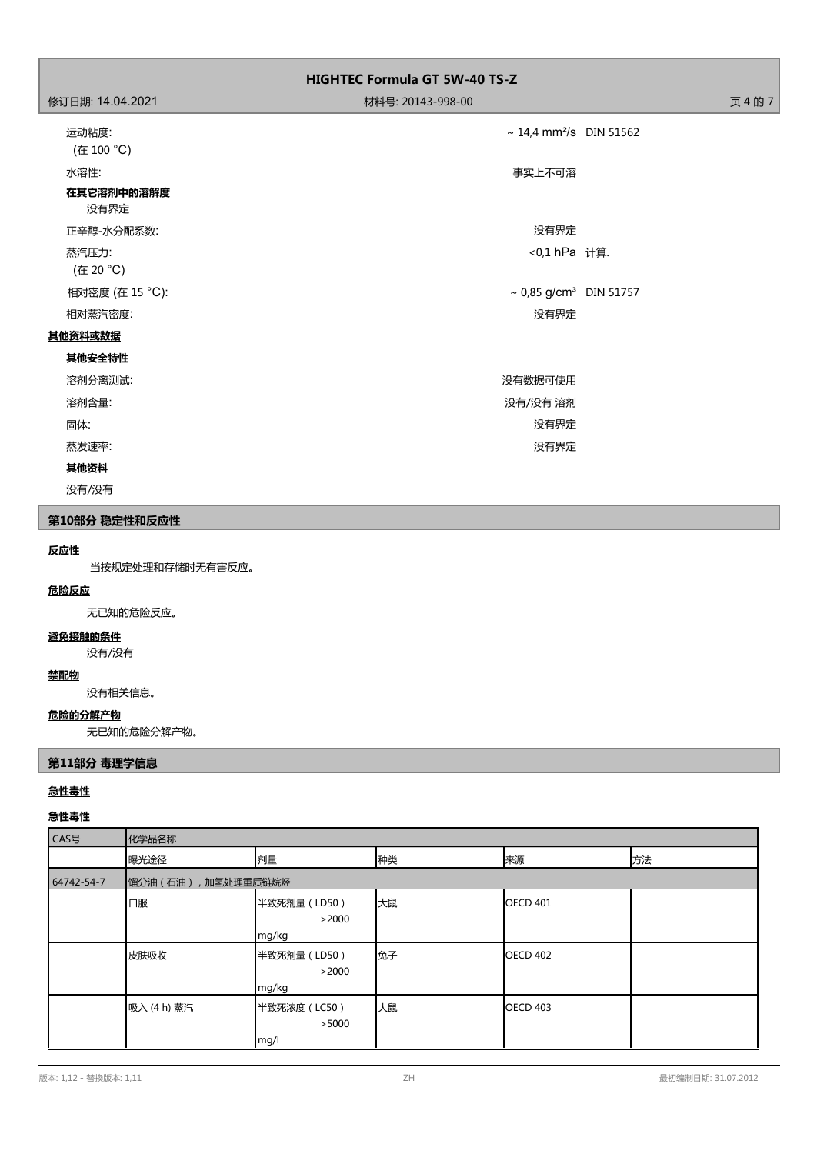|                            | <b>HIGHTEC Formula GT 5W-40 TS-Z</b> |         |
|----------------------------|--------------------------------------|---------|
| 修订日期: 14.04.2021           | 材料号: 20143-998-00                    | 页 4 的 7 |
| 运动粘度:<br>(在 100 °C)        | ~ 14,4 mm <sup>2</sup> /s DIN 51562  |         |
| 水溶性:<br>在其它溶剂中的溶解度<br>没有界定 | 事实上不可溶                               |         |
| 正辛醇-水分配系数:                 | 没有界定                                 |         |
| 蒸汽压力:<br>(在 20 °C)         | <0,1 hPa 计算.                         |         |
| 相对密度 (在 15 °C):            | ~ 0,85 g/cm <sup>3</sup> DIN 51757   |         |
| 相对蒸汽密度:                    | 没有界定                                 |         |
| 其他资料或数据                    |                                      |         |
| 其他安全特性                     |                                      |         |
| 溶剂分离测试:                    | 没有数据可使用                              |         |
| 溶剂含量:                      | 没有/没有 溶剂                             |         |
| 固体:                        | 没有界定                                 |         |
| 蒸发速率:                      | 没有界定                                 |         |
| 其他资料                       |                                      |         |
| 没有/没有                      |                                      |         |

# **第10部分 稳定性和反应性**

## **反应性**

当按规定处理和存储时无有害反应。

# **危险反应**

无已知的危险反应。

# **避免接触的条件**

没有/没有

# **禁配物**

没有相关信息。

# **危险的分解产物**

无已知的危险分解产物。

# **第11部分 毒理学信息**

# **急性毒性**

# **急性毒性**

| CAS号       | 化学品名称                  |                                |    |                 |    |
|------------|------------------------|--------------------------------|----|-----------------|----|
|            | 曝光途径                   | 剂量                             | 种类 | 来源              | 方法 |
| 64742-54-7 | 馏分油 (石油)<br>,加氢处理重质链烷烃 |                                |    |                 |    |
|            | 口服                     | 半致死剂量 (LD50)<br>>2000<br>mg/kg | 大鼠 | <b>OECD 401</b> |    |
|            | 皮肤吸收                   | 半致死剂量 (LD50)<br>>2000<br>mg/kg | 兔子 | <b>OECD 402</b> |    |
|            | 吸入 (4 h) 蒸汽            | 半致死浓度 (LC50)<br>>5000<br>mg/l  | 大鼠 | <b>OECD 403</b> |    |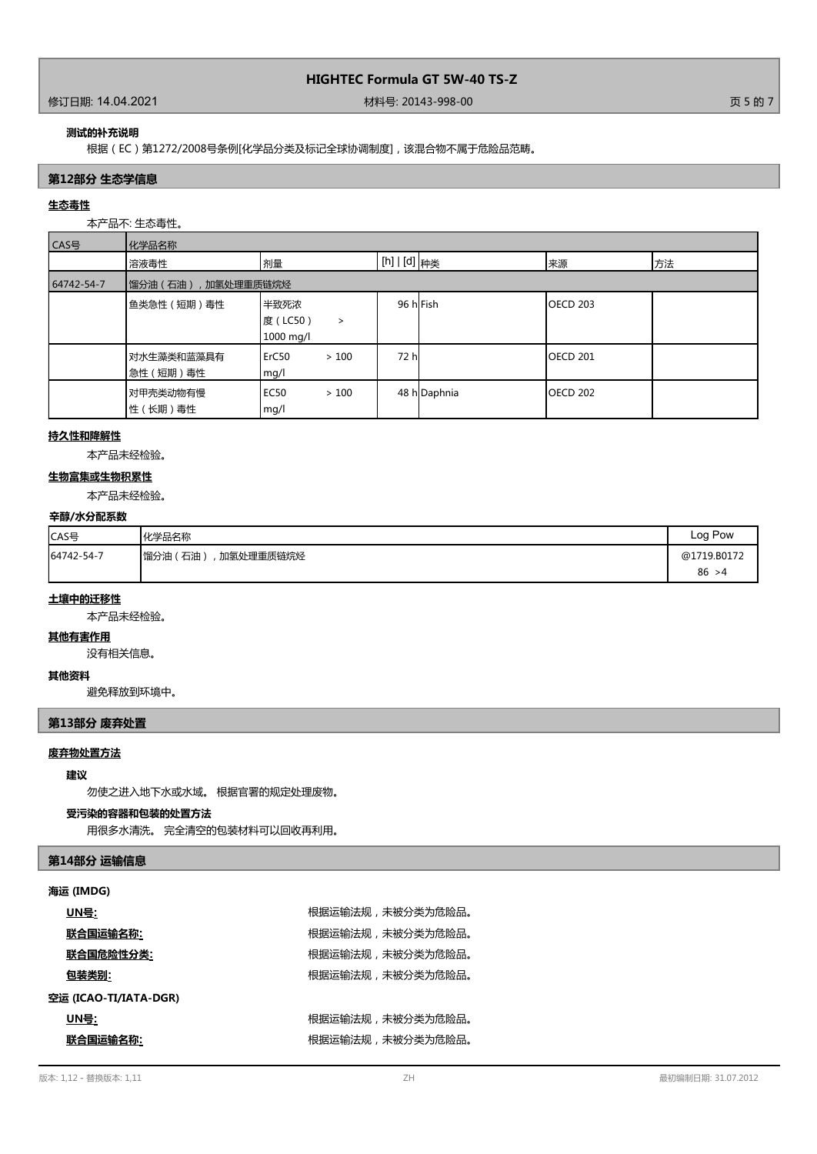#### 修订日期: 14.04.2021 材料号: 20143-998-00 页 5 的 7

#### **测试的补充说明**

根据(EC)第1272/2008号条例[化学品分类及标记全球协调制度],该混合物不属于危险品范畴。

# **第12部分 生态学信息**

# **生态毒性**

本产品不: 生态毒性。

| CAS号       | 化学品名称                   |                                          |                |              |                  |    |
|------------|-------------------------|------------------------------------------|----------------|--------------|------------------|----|
|            | 溶液毒性                    | 剂量                                       | [h]   [d]   种类 |              | 来源               | 方法 |
| 64742-54-7 | 馏分油 (石油)<br>,加氢处理重质链烷烃  |                                          |                |              |                  |    |
|            | 鱼类急性 (短期)毒性             | 半致死浓<br>度 (LC50)<br>$\,>\,$<br>1000 mg/l | 96 hFish       |              | <b>IOECD 203</b> |    |
|            | 对水生藻类和蓝藻具有<br>急性 (短期)毒性 | ErC50<br>>100<br>mg/l                    | 72 h           |              | <b>OECD 201</b>  |    |
|            | 对甲壳类动物有慢<br>性 (长期) 毒性   | EC <sub>50</sub><br>>100<br>mg/l         |                | 48 h Daphnia | <b>OECD 202</b>  |    |

# **持久性和降解性**

本产品未经检验。

# **生物富集或生物积累性**

本产品未经检验。

### **辛醇/水分配系数**

| CAS号       | 化学品名称                     | Log Pow     |
|------------|---------------------------|-------------|
| 64742-54-7 | 加氢处理重质链烷烃<br> 馏分油 (<br>石油 | @1719.B0172 |
|            |                           | 86 > 4      |

# **土壤中的迁移性**

本产品未经检验。

#### **其他有害作用**

没有相关信息。

# **其他资料**

避免释放到环境中。

# **第13部分 废弃处置**

# **废弃物处置方法**

#### **建议**

勿使之进入地下水或水域。 根据官署的规定处理废物。

## **受污染的容器和包装的处置方法**

用很多水清洗。 完全清空的包装材料可以回收再利用。

#### **第14部分 运输信息**

#### **海运 (IMDG)**

| UN号:                  | 根据运输法规,未被分类为危险品。 |
|-----------------------|------------------|
| <u>联合国运输名称:</u>       | 根据运输法规,未被分类为危险品。 |
| 联合国危险性分类:             | 根据运输法规,未被分类为危险品。 |
| 包装类别:                 | 根据运输法规,未被分类为危险品。 |
| 空运 (ICAO-TI/IATA-DGR) |                  |
| UN号:                  | 根据运输法规,未被分类为危险品。 |
| 联合国运输名称:              | 根据运输法规,未被分类为危险品。 |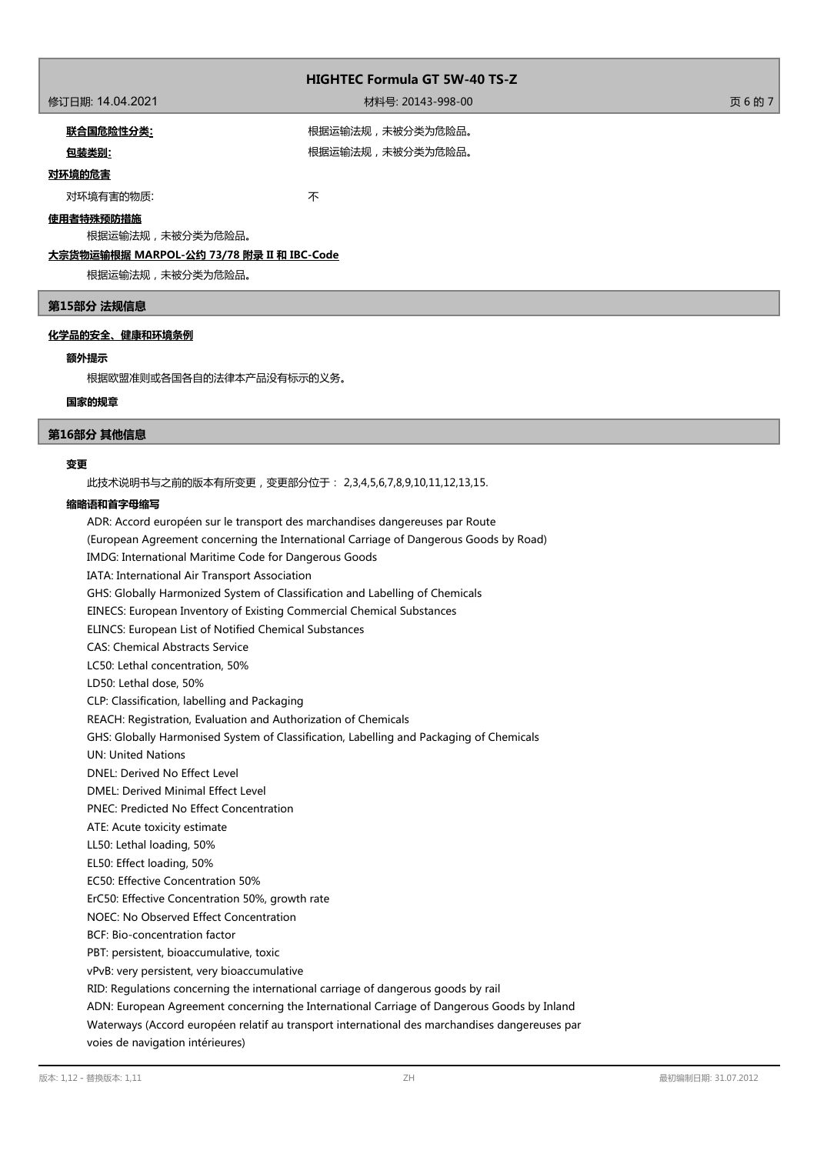# 修订日期: 14.04.2021 材料号: 20143-998-00 页 6 的 7

**联合国危险性分类:** 根据运输法规,未被分类为危险品。

包装类别: **包装类别: インチン インチン おおし 根据运输法规,未被分类为危险品。** 

# **对环境的危害**

对环境有害的物质: カラウン インタン あいしゃ 不

# **使用者特殊预防措施**

根据运输法规,未被分类为危险品。

# **大宗货物运输根据 MARPOL-公约 73/78 附录 II 和 IBC-Code**

根据运输法规,未被分类为危险品。

# **第15部分 法规信息**

## **化学品的安全、健康和环境条例**

## **额外提示**

根据欧盟准则或各国各自的法律本产品没有标示的义务。

#### **国家的规章**

### **第16部分 其他信息**

#### **变更**

此技术说明书与之前的版本有所变更,变更部分位于: 2,3,4,5,6,7,8,9,10,11,12,13,15.

#### **缩略语和首字母缩写**

ADR: Accord européen sur le transport des marchandises dangereuses par Route (European Agreement concerning the International Carriage of Dangerous Goods by Road) IMDG: International Maritime Code for Dangerous Goods IATA: International Air Transport Association GHS: Globally Harmonized System of Classification and Labelling of Chemicals EINECS: European Inventory of Existing Commercial Chemical Substances ELINCS: European List of Notified Chemical Substances CAS: Chemical Abstracts Service LC50: Lethal concentration, 50% LD50: Lethal dose, 50% CLP: Classification, labelling and Packaging REACH: Registration, Evaluation and Authorization of Chemicals GHS: Globally Harmonised System of Classification, Labelling and Packaging of Chemicals UN: United Nations DNEL: Derived No Effect Level DMEL: Derived Minimal Effect Level PNEC: Predicted No Effect Concentration ATE: Acute toxicity estimate LL50: Lethal loading, 50% EL50: Effect loading, 50% EC50: Effective Concentration 50% ErC50: Effective Concentration 50%, growth rate NOEC: No Observed Effect Concentration BCF: Bio-concentration factor PBT: persistent, bioaccumulative, toxic vPvB: very persistent, very bioaccumulative RID: Regulations concerning the international carriage of dangerous goods by rail ADN: European Agreement concerning the International Carriage of Dangerous Goods by Inland Waterways (Accord européen relatif au transport international des marchandises dangereuses par voies de navigation intérieures)